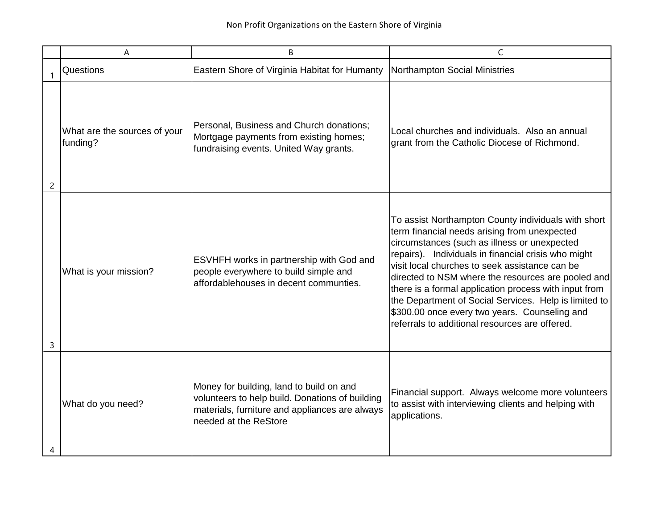|   | A                                        | B                                                                                                                                                                      | C                                                                                                                                                                                                                                                                                                                                                                                                                                                                                                                                       |
|---|------------------------------------------|------------------------------------------------------------------------------------------------------------------------------------------------------------------------|-----------------------------------------------------------------------------------------------------------------------------------------------------------------------------------------------------------------------------------------------------------------------------------------------------------------------------------------------------------------------------------------------------------------------------------------------------------------------------------------------------------------------------------------|
|   | <b>Questions</b>                         | Eastern Shore of Virginia Habitat for Humanty                                                                                                                          | Northampton Social Ministries                                                                                                                                                                                                                                                                                                                                                                                                                                                                                                           |
| 2 | What are the sources of your<br>funding? | Personal, Business and Church donations;<br>Mortgage payments from existing homes;<br>fundraising events. United Way grants.                                           | Local churches and individuals. Also an annual<br>grant from the Catholic Diocese of Richmond.                                                                                                                                                                                                                                                                                                                                                                                                                                          |
| 3 | What is your mission?                    | ESVHFH works in partnership with God and<br>people everywhere to build simple and<br>affordablehouses in decent communties.                                            | To assist Northampton County individuals with short<br>term financial needs arising from unexpected<br>circumstances (such as illness or unexpected<br>repairs). Individuals in financial crisis who might<br>visit local churches to seek assistance can be<br>directed to NSM where the resources are pooled and<br>there is a formal application process with input from<br>the Department of Social Services. Help is limited to<br>\$300.00 once every two years. Counseling and<br>referrals to additional resources are offered. |
|   | What do you need?                        | Money for building, land to build on and<br>volunteers to help build. Donations of building<br>materials, furniture and appliances are always<br>needed at the ReStore | Financial support. Always welcome more volunteers<br>to assist with interviewing clients and helping with<br>applications.                                                                                                                                                                                                                                                                                                                                                                                                              |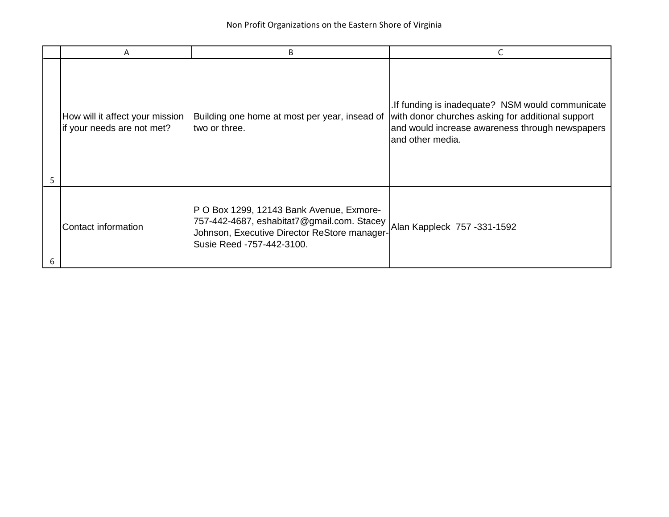|   | A                                                             | B                                                                                                                                                                   |                                                                                                                                                                              |
|---|---------------------------------------------------------------|---------------------------------------------------------------------------------------------------------------------------------------------------------------------|------------------------------------------------------------------------------------------------------------------------------------------------------------------------------|
| 5 | How will it affect your mission<br>if your needs are not met? | Building one home at most per year, insead of<br>two or three.                                                                                                      | .If funding is inadequate? NSM would communicate<br>with donor churches asking for additional support<br>and would increase awareness through newspapers<br>and other media. |
| 6 | Contact information                                           | P O Box 1299, 12143 Bank Avenue, Exmore-<br>757-442-4687, eshabitat7@gmail.com. Stacey<br>Johnson, Executive Director ReStore manager-<br>Susie Reed -757-442-3100. | Alan Kappleck 757 - 331-1592                                                                                                                                                 |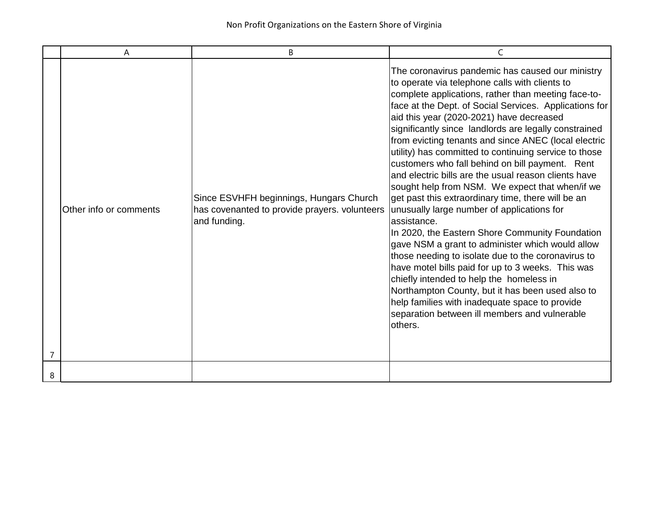|   | A                      | B                                                                                                        | C                                                                                                                                                                                                                                                                                                                                                                                                                                                                                                                                                                                                                                                                                                                                                                                                                                                                                                                                                                                                                                                                                                                                                          |
|---|------------------------|----------------------------------------------------------------------------------------------------------|------------------------------------------------------------------------------------------------------------------------------------------------------------------------------------------------------------------------------------------------------------------------------------------------------------------------------------------------------------------------------------------------------------------------------------------------------------------------------------------------------------------------------------------------------------------------------------------------------------------------------------------------------------------------------------------------------------------------------------------------------------------------------------------------------------------------------------------------------------------------------------------------------------------------------------------------------------------------------------------------------------------------------------------------------------------------------------------------------------------------------------------------------------|
|   | Other info or comments | Since ESVHFH beginnings, Hungars Church<br>has covenanted to provide prayers. volunteers<br>and funding. | The coronavirus pandemic has caused our ministry<br>to operate via telephone calls with clients to<br>complete applications, rather than meeting face-to-<br>face at the Dept. of Social Services. Applications for<br>aid this year (2020-2021) have decreased<br>significantly since landlords are legally constrained<br>from evicting tenants and since ANEC (local electric<br>utility) has committed to continuing service to those<br>customers who fall behind on bill payment. Rent<br>and electric bills are the usual reason clients have<br>sought help from NSM. We expect that when/if we<br>get past this extraordinary time, there will be an<br>unusually large number of applications for<br>assistance.<br>In 2020, the Eastern Shore Community Foundation<br>gave NSM a grant to administer which would allow<br>those needing to isolate due to the coronavirus to<br>have motel bills paid for up to 3 weeks. This was<br>chiefly intended to help the homeless in<br>Northampton County, but it has been used also to<br>help families with inadequate space to provide<br>separation between ill members and vulnerable<br>others. |
| 8 |                        |                                                                                                          |                                                                                                                                                                                                                                                                                                                                                                                                                                                                                                                                                                                                                                                                                                                                                                                                                                                                                                                                                                                                                                                                                                                                                            |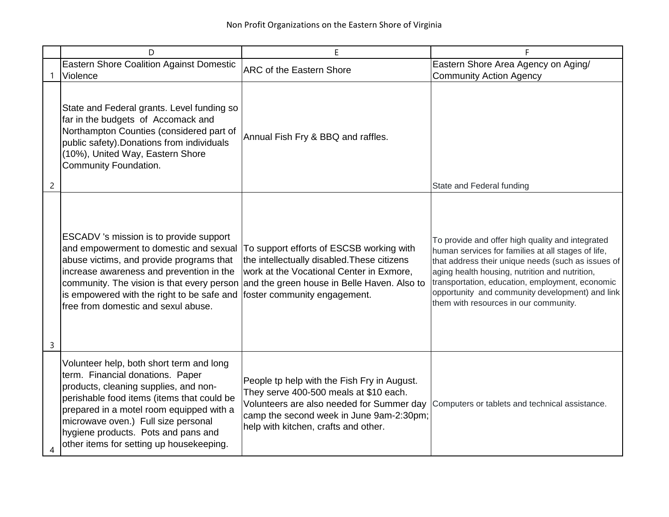|   | D                                                                                                                                                                                                                                                                                                                                         | F                                                                                                                                                                                                                                                             | F                                                                                                                                                                                                                                                                                                                                                             |
|---|-------------------------------------------------------------------------------------------------------------------------------------------------------------------------------------------------------------------------------------------------------------------------------------------------------------------------------------------|---------------------------------------------------------------------------------------------------------------------------------------------------------------------------------------------------------------------------------------------------------------|---------------------------------------------------------------------------------------------------------------------------------------------------------------------------------------------------------------------------------------------------------------------------------------------------------------------------------------------------------------|
| 1 | <b>Eastern Shore Coalition Against Domestic</b><br>Violence                                                                                                                                                                                                                                                                               | <b>ARC of the Eastern Shore</b>                                                                                                                                                                                                                               | Eastern Shore Area Agency on Aging/<br><b>Community Action Agency</b>                                                                                                                                                                                                                                                                                         |
| 2 | State and Federal grants. Level funding so<br>far in the budgets of Accomack and<br>Northampton Counties (considered part of<br>public safety). Donations from individuals<br>(10%), United Way, Eastern Shore<br>Community Foundation.                                                                                                   | Annual Fish Fry & BBQ and raffles.                                                                                                                                                                                                                            | State and Federal funding                                                                                                                                                                                                                                                                                                                                     |
| 3 | ESCADV 's mission is to provide support<br>and empowerment to domestic and sexual<br>abuse victims, and provide programs that<br>increase awareness and prevention in the<br>is empowered with the right to be safe and<br>free from domestic and sexul abuse.                                                                            | To support efforts of ESCSB working with<br>the intellectually disabled. These citizens<br>work at the Vocational Center in Exmore,<br>community. The vision is that every person and the green house in Belle Haven. Also to<br>foster community engagement. | To provide and offer high quality and integrated<br>human services for families at all stages of life,<br>that address their unique needs (such as issues of<br>aging health housing, nutrition and nutrition,<br>transportation, education, employment, economic<br>opportunity and community development) and link<br>them with resources in our community. |
| 4 | Volunteer help, both short term and long<br>term. Financial donations. Paper<br>products, cleaning supplies, and non-<br>perishable food items (items that could be<br>prepared in a motel room equipped with a<br>microwave oven.) Full size personal<br>hygiene products. Pots and pans and<br>other items for setting up housekeeping. | People tp help with the Fish Fry in August.<br>They serve 400-500 meals at \$10 each.<br>Volunteers are also needed for Summer day<br>camp the second week in June 9am-2:30pm;<br>help with kitchen, crafts and other.                                        | Computers or tablets and technical assistance.                                                                                                                                                                                                                                                                                                                |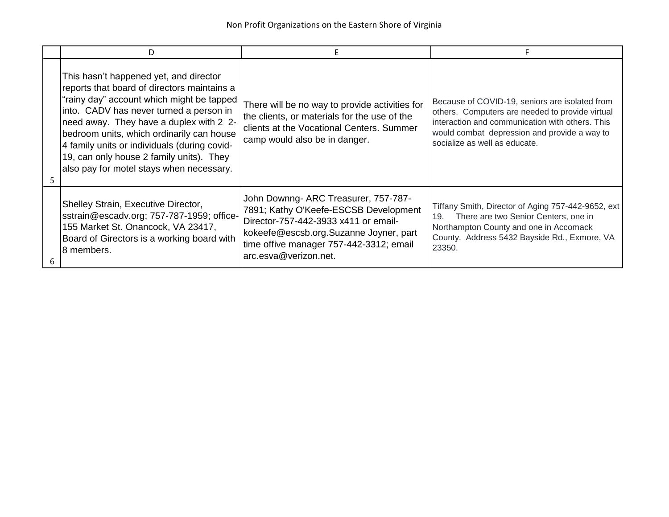|   | D.                                                                                                                                                                                                                                                                                                                                                                                                            |                                                                                                                                                                                                                                     |                                                                                                                                                                                                                                       |
|---|---------------------------------------------------------------------------------------------------------------------------------------------------------------------------------------------------------------------------------------------------------------------------------------------------------------------------------------------------------------------------------------------------------------|-------------------------------------------------------------------------------------------------------------------------------------------------------------------------------------------------------------------------------------|---------------------------------------------------------------------------------------------------------------------------------------------------------------------------------------------------------------------------------------|
|   | This hasn't happened yet, and director<br>reports that board of directors maintains a<br>"rainy day" account which might be tapped<br>into. CADV has never turned a person in<br>need away. They have a duplex with 2 2-<br>bedroom units, which ordinarily can house<br>4 family units or individuals (during covid-<br>19, can only house 2 family units). They<br>also pay for motel stays when necessary. | There will be no way to provide activities for<br>the clients, or materials for the use of the<br>clients at the Vocational Centers. Summer<br>camp would also be in danger.                                                        | Because of COVID-19, seniors are isolated from<br>others. Computers are needed to provide virtual<br>interaction and communication with others. This<br>would combat depression and provide a way to<br>socialize as well as educate. |
| 6 | Shelley Strain, Executive Director,<br>sstrain@escadv.org; 757-787-1959; office-<br>155 Market St. Onancock, VA 23417,<br>Board of Girectors is a working board with<br>18 members.                                                                                                                                                                                                                           | John Downng- ARC Treasurer, 757-787-<br>7891; Kathy O'Keefe-ESCSB Development<br>Director-757-442-3933 x411 or email-<br>kokeefe@escsb.org.Suzanne Joyner, part<br>time offive manager 757-442-3312; email<br>arc.esva@verizon.net. | Tiffany Smith, Director of Aging 757-442-9652, ext<br>There are two Senior Centers, one in<br>19.<br>Northampton County and one in Accomack<br>County. Address 5432 Bayside Rd., Exmore, VA<br>23350.                                 |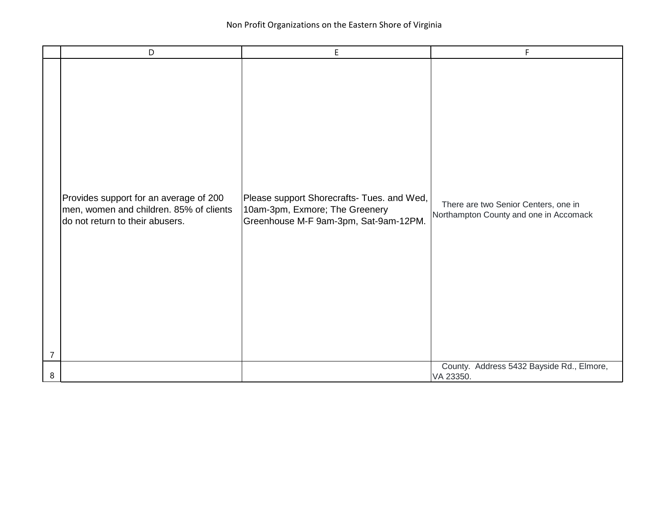|                | D                                                                                                                    | E.                                                                                                                    | F                                                                              |
|----------------|----------------------------------------------------------------------------------------------------------------------|-----------------------------------------------------------------------------------------------------------------------|--------------------------------------------------------------------------------|
| $\overline{7}$ | Provides support for an average of 200<br>men, women and children. 85% of clients<br>do not return to their abusers. | Please support Shorecrafts- Tues. and Wed,<br>10am-3pm, Exmore; The Greenery<br>Greenhouse M-F 9am-3pm, Sat-9am-12PM. | There are two Senior Centers, one in<br>Northampton County and one in Accomack |
| 8              |                                                                                                                      |                                                                                                                       | County. Address 5432 Bayside Rd., Elmore,<br>VA 23350.                         |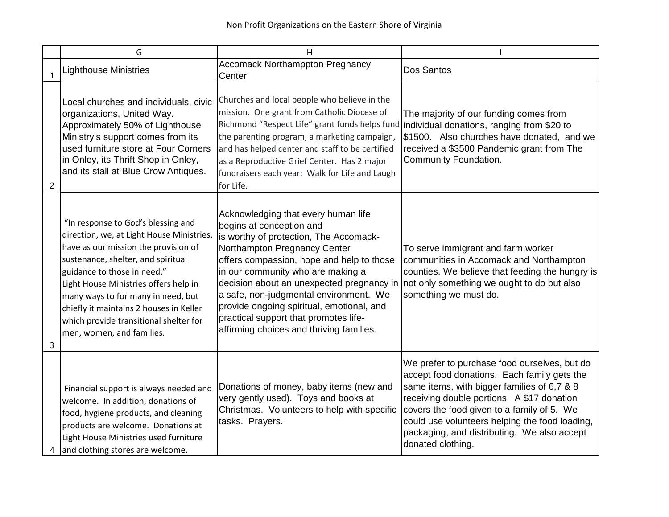|                | G                                                                                                                                                                                                                                                                                                                                                                                             | н                                                                                                                                                                                                                                                                                                                                                                                                                                                    |                                                                                                                                                                                                                                                                                                                                                              |
|----------------|-----------------------------------------------------------------------------------------------------------------------------------------------------------------------------------------------------------------------------------------------------------------------------------------------------------------------------------------------------------------------------------------------|------------------------------------------------------------------------------------------------------------------------------------------------------------------------------------------------------------------------------------------------------------------------------------------------------------------------------------------------------------------------------------------------------------------------------------------------------|--------------------------------------------------------------------------------------------------------------------------------------------------------------------------------------------------------------------------------------------------------------------------------------------------------------------------------------------------------------|
|                | <b>Lighthouse Ministries</b>                                                                                                                                                                                                                                                                                                                                                                  | <b>Accomack Northamppton Pregnancy</b><br>Center                                                                                                                                                                                                                                                                                                                                                                                                     | Dos Santos                                                                                                                                                                                                                                                                                                                                                   |
| $\overline{c}$ | Local churches and individuals, civic<br>organizations, United Way.<br>Approximately 50% of Lighthouse<br>Ministry's support comes from its<br>used furniture store at Four Corners<br>in Onley, its Thrift Shop in Onley,<br>and its stall at Blue Crow Antiques.                                                                                                                            | Churches and local people who believe in the<br>mission. One grant from Catholic Diocese of<br>Richmond "Respect Life" grant funds helps fund<br>the parenting program, a marketing campaign,<br>and has helped center and staff to be certified<br>as a Reproductive Grief Center. Has 2 major<br>fundraisers each year: Walk for Life and Laugh<br>for Life.                                                                                       | The majority of our funding comes from<br>individual donations, ranging from \$20 to<br>\$1500. Also churches have donated, and we<br>received a \$3500 Pandemic grant from The<br>Community Foundation.                                                                                                                                                     |
| 3              | "In response to God's blessing and<br>direction, we, at Light House Ministries,<br>have as our mission the provision of<br>sustenance, shelter, and spiritual<br>guidance to those in need."<br>Light House Ministries offers help in<br>many ways to for many in need, but<br>chiefly it maintains 2 houses in Keller<br>which provide transitional shelter for<br>men, women, and families. | Acknowledging that every human life<br>begins at conception and<br>is worthy of protection, The Accomack-<br>Northampton Pregnancy Center<br>offers compassion, hope and help to those<br>in our community who are making a<br>decision about an unexpected pregnancy in<br>a safe, non-judgmental environment. We<br>provide ongoing spiritual, emotional, and<br>practical support that promotes life-<br>affirming choices and thriving families. | To serve immigrant and farm worker<br>communities in Accomack and Northampton<br>counties. We believe that feeding the hungry is<br>not only something we ought to do but also<br>something we must do.                                                                                                                                                      |
| 4              | Financial support is always needed and<br>welcome. In addition, donations of<br>food, hygiene products, and cleaning<br>products are welcome. Donations at<br>Light House Ministries used furniture<br>and clothing stores are welcome.                                                                                                                                                       | Donations of money, baby items (new and<br>very gently used). Toys and books at<br>Christmas. Volunteers to help with specific<br>tasks. Prayers.                                                                                                                                                                                                                                                                                                    | We prefer to purchase food ourselves, but do<br>accept food donations. Each family gets the<br>same items, with bigger families of 6,7 & 8<br>receiving double portions. A \$17 donation<br>covers the food given to a family of 5. We<br>could use volunteers helping the food loading,<br>packaging, and distributing. We also accept<br>donated clothing. |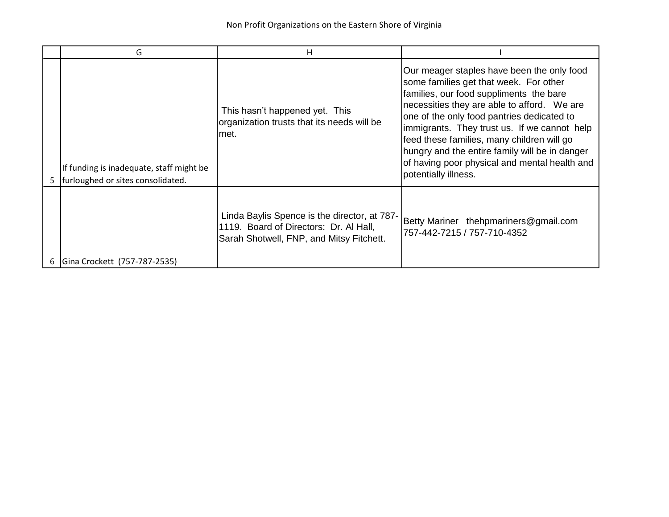| G                                                                             | н                                                                                                                                  |                                                                                                                                                                                                                                                                                                                                                                                                                                                       |
|-------------------------------------------------------------------------------|------------------------------------------------------------------------------------------------------------------------------------|-------------------------------------------------------------------------------------------------------------------------------------------------------------------------------------------------------------------------------------------------------------------------------------------------------------------------------------------------------------------------------------------------------------------------------------------------------|
| If funding is inadequate, staff might be<br>furloughed or sites consolidated. | This hasn't happened yet. This<br>organization trusts that its needs will be<br>∣met.                                              | Our meager staples have been the only food<br>some families get that week. For other<br>families, our food suppliments the bare<br>necessities they are able to afford. We are<br>one of the only food pantries dedicated to<br>immigrants. They trust us. If we cannot help<br>feed these families, many children will go<br>hungry and the entire family will be in danger<br>of having poor physical and mental health and<br>potentially illness. |
| Gina Crockett (757-787-2535)                                                  | Linda Baylis Spence is the director, at 787-<br>1119. Board of Directors: Dr. Al Hall,<br>Sarah Shotwell, FNP, and Mitsy Fitchett. | Betty Mariner thehpmariners@gmail.com<br>757-442-7215 / 757-710-4352                                                                                                                                                                                                                                                                                                                                                                                  |